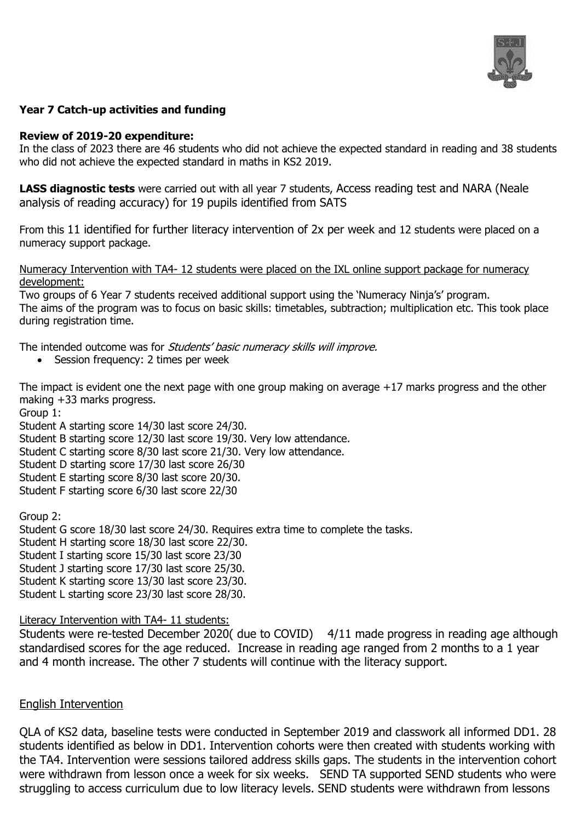

# **Year 7 Catch-up activities and funding**

### **Review of 2019-20 expenditure:**

In the class of 2023 there are 46 students who did not achieve the expected standard in reading and 38 students who did not achieve the expected standard in maths in KS2 2019.

**LASS diagnostic tests** were carried out with all year 7 students, Access reading test and NARA (Neale analysis of reading accuracy) for 19 pupils identified from SATS

From this 11 identified for further literacy intervention of 2x per week and 12 students were placed on a numeracy support package.

Numeracy Intervention with TA4- 12 students were placed on the IXL online support package for numeracy development:

Two groups of 6 Year 7 students received additional support using the 'Numeracy Ninja's' program. The aims of the program was to focus on basic skills: timetables, subtraction; multiplication etc. This took place during registration time.

The intended outcome was for Students' basic numeracy skills will improve.

• Session frequency: 2 times per week

The impact is evident one the next page with one group making on average +17 marks progress and the other making +33 marks progress.

Group 1:

Student A starting score 14/30 last score 24/30.

Student B starting score 12/30 last score 19/30. Very low attendance.

Student C starting score 8/30 last score 21/30. Very low attendance.

Student D starting score 17/30 last score 26/30

Student E starting score 8/30 last score 20/30.

Student F starting score 6/30 last score 22/30

Group 2: Student G score 18/30 last score 24/30. Requires extra time to complete the tasks. Student H starting score 18/30 last score 22/30. Student I starting score 15/30 last score 23/30 Student J starting score 17/30 last score 25/30. Student K starting score 13/30 last score 23/30. Student L starting score 23/30 last score 28/30.

Literacy Intervention with TA4- 11 students:

Students were re-tested December 2020( due to COVID) 4/11 made progress in reading age although standardised scores for the age reduced. Increase in reading age ranged from 2 months to a 1 year and 4 month increase. The other 7 students will continue with the literacy support.

## English Intervention

QLA of KS2 data, baseline tests were conducted in September 2019 and classwork all informed DD1. 28 students identified as below in DD1. Intervention cohorts were then created with students working with the TA4. Intervention were sessions tailored address skills gaps. The students in the intervention cohort were withdrawn from lesson once a week for six weeks. SEND TA supported SEND students who were struggling to access curriculum due to low literacy levels. SEND students were withdrawn from lessons